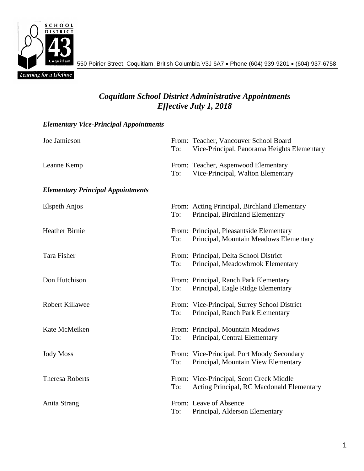

550 Poirier Street, Coquitlam, British Columbia V3J 6A7 Phone (604) 939-9201 (604) 937-6758

## *Coquitlam School District Administrative Appointments Effective July 1, 2018*

## *Elementary Vice-Principal Appointments*

| Joe Jamieson                             | To: | From: Teacher, Vancouver School Board<br>Vice-Principal, Panorama Heights Elementary  |
|------------------------------------------|-----|---------------------------------------------------------------------------------------|
| Leanne Kemp                              | To: | From: Teacher, Aspenwood Elementary<br>Vice-Principal, Walton Elementary              |
| <b>Elementary Principal Appointments</b> |     |                                                                                       |
| <b>Elspeth Anjos</b>                     | To: | From: Acting Principal, Birchland Elementary<br>Principal, Birchland Elementary       |
| <b>Heather Birnie</b>                    | To: | From: Principal, Pleasantside Elementary<br>Principal, Mountain Meadows Elementary    |
| Tara Fisher                              | To: | From: Principal, Delta School District<br>Principal, Meadowbrook Elementary           |
| Don Hutchison                            | To: | From: Principal, Ranch Park Elementary<br>Principal, Eagle Ridge Elementary           |
| Robert Killawee                          | To: | From: Vice-Principal, Surrey School District<br>Principal, Ranch Park Elementary      |
| Kate McMeiken                            | To: | From: Principal, Mountain Meadows<br>Principal, Central Elementary                    |
| <b>Jody Moss</b>                         | To: | From: Vice-Principal, Port Moody Secondary<br>Principal, Mountain View Elementary     |
| <b>Theresa Roberts</b>                   | To: | From: Vice-Principal, Scott Creek Middle<br>Acting Principal, RC Macdonald Elementary |
| Anita Strang                             | To: | From: Leave of Absence<br>Principal, Alderson Elementary                              |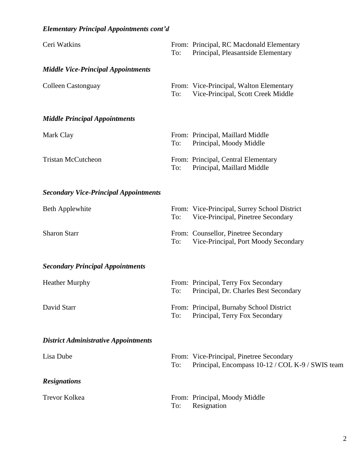## *Elementary Principal Appointments cont'd*

| Ceri Watkins                                 | To: | From: Principal, RC Macdonald Elementary<br>Principal, Pleasantside Elementary               |
|----------------------------------------------|-----|----------------------------------------------------------------------------------------------|
| <b>Middle Vice-Principal Appointments</b>    |     |                                                                                              |
| <b>Colleen Castonguay</b>                    | To: | From: Vice-Principal, Walton Elementary<br>Vice-Principal, Scott Creek Middle                |
| <b>Middle Principal Appointments</b>         |     |                                                                                              |
| Mark Clay                                    | To: | From: Principal, Maillard Middle<br>Principal, Moody Middle                                  |
| <b>Tristan McCutcheon</b>                    | To: | From: Principal, Central Elementary<br>Principal, Maillard Middle                            |
| <b>Secondary Vice-Principal Appointments</b> |     |                                                                                              |
| <b>Beth Applewhite</b>                       | To: | From: Vice-Principal, Surrey School District<br>Vice-Principal, Pinetree Secondary           |
| <b>Sharon Starr</b>                          | To: | From: Counsellor, Pinetree Secondary<br>Vice-Principal, Port Moody Secondary                 |
| <b>Secondary Principal Appointments</b>      |     |                                                                                              |
| <b>Heather Murphy</b>                        | To: | From: Principal, Terry Fox Secondary<br>Principal, Dr. Charles Best Secondary                |
| David Starr                                  | To: | From: Principal, Burnaby School District<br>Principal, Terry Fox Secondary                   |
| <b>District Administrative Appointments</b>  |     |                                                                                              |
| Lisa Dube                                    | To: | From: Vice-Principal, Pinetree Secondary<br>Principal, Encompass 10-12 / COL K-9 / SWIS team |
| <b>Resignations</b>                          |     |                                                                                              |
| <b>Trevor Kolkea</b>                         | To: | From: Principal, Moody Middle<br>Resignation                                                 |